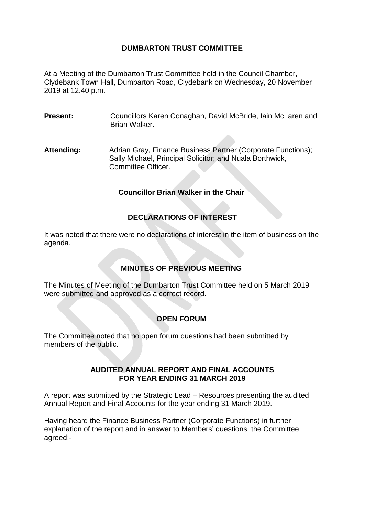# **DUMBARTON TRUST COMMITTEE**

At a Meeting of the Dumbarton Trust Committee held in the Council Chamber, Clydebank Town Hall, Dumbarton Road, Clydebank on Wednesday, 20 November 2019 at 12.40 p.m.

- **Present:** Councillors Karen Conaghan, David McBride, Iain McLaren and Brian Walker.
- Attending: Adrian Gray, Finance Business Partner (Corporate Functions); Sally Michael, Principal Solicitor; and Nuala Borthwick, Committee Officer.

### **Councillor Brian Walker in the Chair**

# **DECLARATIONS OF INTEREST**

It was noted that there were no declarations of interest in the item of business on the agenda.

# **MINUTES OF PREVIOUS MEETING**

The Minutes of Meeting of the Dumbarton Trust Committee held on 5 March 2019 were submitted and approved as a correct record.

# **OPEN FORUM**

The Committee noted that no open forum questions had been submitted by members of the public.

### **AUDITED ANNUAL REPORT AND FINAL ACCOUNTS FOR YEAR ENDING 31 MARCH 2019**

A report was submitted by the Strategic Lead – Resources presenting the audited Annual Report and Final Accounts for the year ending 31 March 2019.

Having heard the Finance Business Partner (Corporate Functions) in further explanation of the report and in answer to Members' questions, the Committee agreed:-